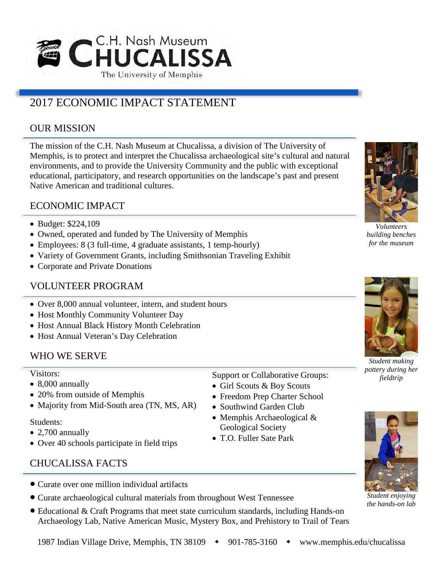

# 2017 ECONOMIC IMPACT STATEMENT

## OUR MISSION

The mission of the C.H. Nash Museum at Chucalissa, a division of The University of Memphis, is to protect and interpret the Chucalissa archaeological site's cultural and natural environments, and to provide the University Community and the public with exceptional educational, participatory, and research opportunities on the landscape's past and present Native American and traditional cultures.

### ECONOMIC IMPACT

- Budget: \$224,109
- Owned, operated and funded by The University of Memphis
- Employees: 8 (3 full-time, 4 graduate assistants, 1 temp-hourly)
- Variety of Government Grants, including Smithsonian Traveling Exhibit
- Corporate and Private Donations

### VOLUNTEER PROGRAM

- Over 8,000 annual volunteer, intern, and student hours
- Host Monthly Community Volunteer Day
- Host Annual Black History Month Celebration
- Host Annual Veteran's Day Celebration

### WHO WE SERVE

#### Visitors:

- 8,000 annually
- 20% from outside of Memphis
- Majority from Mid-South area (TN, MS, AR)

#### Students:

- 2,700 annually
- Over 40 schools participate in field trips

## CHUCALISSA FACTS

- Curate over one million individual artifacts
- Curate archaeological cultural materials from throughout West Tennessee
- Educational & Craft Programs that meet state curriculum standards, including Hands-on Archaeology Lab, Native American Music, Mystery Box, and Prehistory to Trail of Tears



*Volunteers building benches for the museum*



*Student making pottery during her fieldtrip*



*Student enjoying the hands-on lab*

Support or Collaborative Groups: • Girl Scouts & Boy Scouts • Freedom Prep Charter School • Southwind Garden Club • Memphis Archaeological &

Geological Society • T.O. Fuller Sate Park